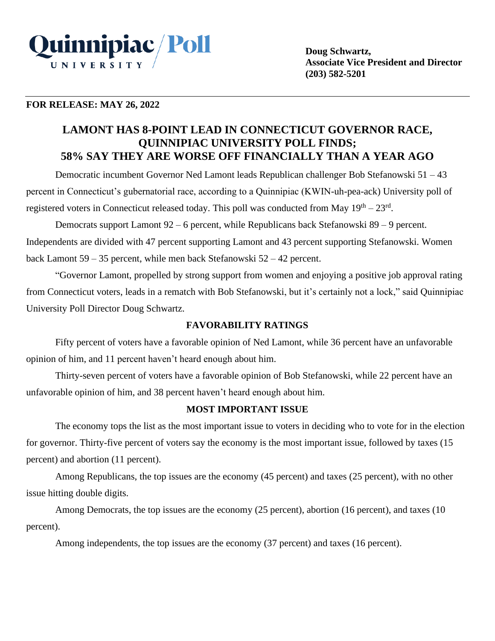

## **FOR RELEASE: MAY 26, 2022**

# **LAMONT HAS 8-POINT LEAD IN CONNECTICUT GOVERNOR RACE, QUINNIPIAC UNIVERSITY POLL FINDS; 58% SAY THEY ARE WORSE OFF FINANCIALLY THAN A YEAR AGO**

Democratic incumbent Governor Ned Lamont leads Republican challenger Bob Stefanowski 51 – 43 percent in Connecticut's gubernatorial race, according to a Quinnipiac (KWIN-uh-pea-ack) University poll of registered voters in Connecticut released today. This poll was conducted from May  $19<sup>th</sup> - 23<sup>rd</sup>$ .

Democrats support Lamont 92 – 6 percent, while Republicans back Stefanowski 89 – 9 percent. Independents are divided with 47 percent supporting Lamont and 43 percent supporting Stefanowski. Women back Lamont 59 – 35 percent, while men back Stefanowski 52 – 42 percent.

"Governor Lamont, propelled by strong support from women and enjoying a positive job approval rating from Connecticut voters, leads in a rematch with Bob Stefanowski, but it's certainly not a lock," said Quinnipiac University Poll Director Doug Schwartz.

## **FAVORABILITY RATINGS**

Fifty percent of voters have a favorable opinion of Ned Lamont, while 36 percent have an unfavorable opinion of him, and 11 percent haven't heard enough about him.

Thirty-seven percent of voters have a favorable opinion of Bob Stefanowski, while 22 percent have an unfavorable opinion of him, and 38 percent haven't heard enough about him.

## **MOST IMPORTANT ISSUE**

The economy tops the list as the most important issue to voters in deciding who to vote for in the election for governor. Thirty-five percent of voters say the economy is the most important issue, followed by taxes (15 percent) and abortion (11 percent).

Among Republicans, the top issues are the economy (45 percent) and taxes (25 percent), with no other issue hitting double digits.

Among Democrats, the top issues are the economy (25 percent), abortion (16 percent), and taxes (10 percent).

Among independents, the top issues are the economy (37 percent) and taxes (16 percent).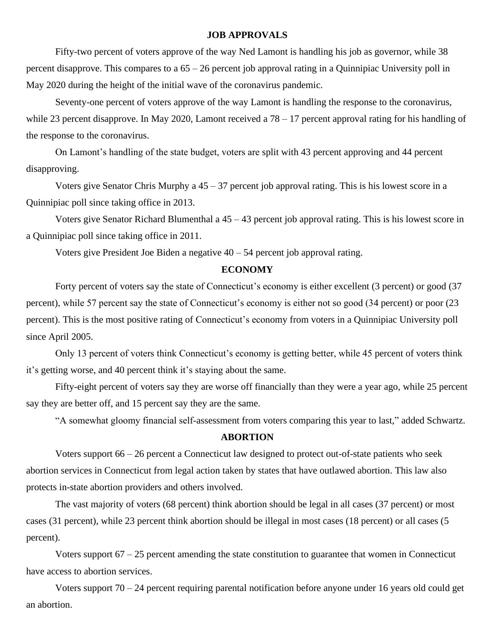### **JOB APPROVALS**

Fifty-two percent of voters approve of the way Ned Lamont is handling his job as governor, while 38 percent disapprove. This compares to a 65 – 26 percent job approval rating in a Quinnipiac University poll in May 2020 during the height of the initial wave of the coronavirus pandemic.

Seventy-one percent of voters approve of the way Lamont is handling the response to the coronavirus, while 23 percent disapprove. In May 2020, Lamont received a 78 – 17 percent approval rating for his handling of the response to the coronavirus.

On Lamont's handling of the state budget, voters are split with 43 percent approving and 44 percent disapproving.

Voters give Senator Chris Murphy a  $45 - 37$  percent job approval rating. This is his lowest score in a Quinnipiac poll since taking office in 2013.

Voters give Senator Richard Blumenthal a 45 – 43 percent job approval rating. This is his lowest score in a Quinnipiac poll since taking office in 2011.

Voters give President Joe Biden a negative  $40 - 54$  percent job approval rating.

### **ECONOMY**

Forty percent of voters say the state of Connecticut's economy is either excellent (3 percent) or good (37 percent), while 57 percent say the state of Connecticut's economy is either not so good (34 percent) or poor (23 percent). This is the most positive rating of Connecticut's economy from voters in a Quinnipiac University poll since April 2005.

Only 13 percent of voters think Connecticut's economy is getting better, while 45 percent of voters think it's getting worse, and 40 percent think it's staying about the same.

Fifty-eight percent of voters say they are worse off financially than they were a year ago, while 25 percent say they are better off, and 15 percent say they are the same.

"A somewhat gloomy financial self-assessment from voters comparing this year to last," added Schwartz.

#### **ABORTION**

Voters support 66 – 26 percent a Connecticut law designed to protect out-of-state patients who seek abortion services in Connecticut from legal action taken by states that have outlawed abortion. This law also protects in-state abortion providers and others involved.

The vast majority of voters (68 percent) think abortion should be legal in all cases (37 percent) or most cases (31 percent), while 23 percent think abortion should be illegal in most cases (18 percent) or all cases (5 percent).

Voters support 67 – 25 percent amending the state constitution to guarantee that women in Connecticut have access to abortion services.

Voters support 70 – 24 percent requiring parental notification before anyone under 16 years old could get an abortion.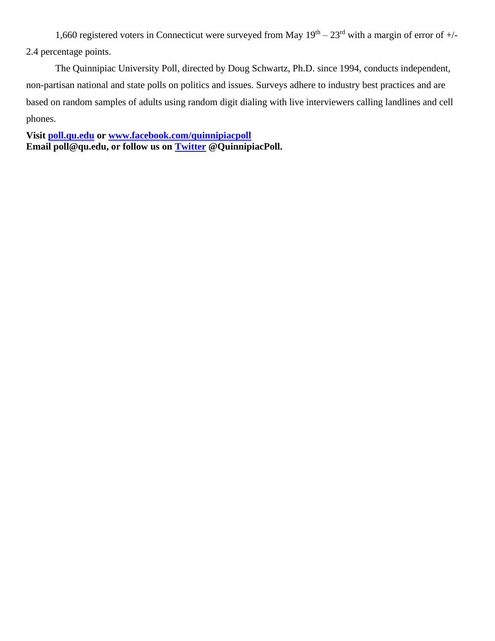1,660 registered voters in Connecticut were surveyed from May  $19<sup>th</sup> - 23<sup>rd</sup>$  with a margin of error of  $+/-$ 2.4 percentage points.

The Quinnipiac University Poll, directed by Doug Schwartz, Ph.D. since 1994, conducts independent, non-partisan national and state polls on politics and issues. Surveys adhere to industry best practices and are based on random samples of adults using random digit dialing with live interviewers calling landlines and cell phones.

**Visit [poll.qu.edu](https://poll.qu.edu/) or [www.facebook.com/quinnipiacpoll](http://www.facebook.com/quinnipiacpoll)  Email poll@qu.edu, or follow us on [Twitter](http://twitter.com/QuinnipiacPoll) @QuinnipiacPoll.**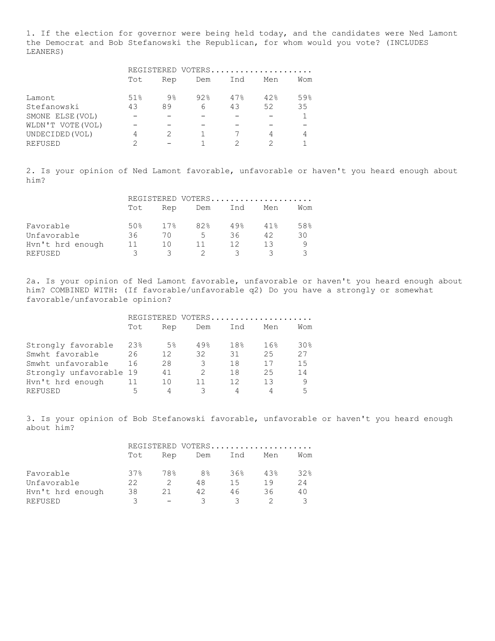1. If the election for governor were being held today, and the candidates were Ned Lamont the Democrat and Bob Stefanowski the Republican, for whom would you vote? (INCLUDES LEANERS)

|                   | REGISTERED VOTERS |     |     |     |     |     |
|-------------------|-------------------|-----|-----|-----|-----|-----|
|                   | Tot               | Rep | Dem | Ind | Men | Wom |
| Lamont            | 51%               | 9%  | 92% | 47% | 42% | 59% |
| Stefanowski       | 43                | 89  | 6   | 43  | 52  | 35  |
| SMONE ELSE (VOL)  |                   |     |     |     |     |     |
| WLDN'T VOTE (VOL) |                   |     |     |     |     |     |
| UNDECIDED (VOL)   | 4                 |     |     |     | 4   |     |
| REFUSED           | ◠                 |     |     | ◠   | っ   |     |

2. Is your opinion of Ned Lamont favorable, unfavorable or haven't you heard enough about him?

|                  | REGISTERED VOTERS |     |     |      |     |     |
|------------------|-------------------|-----|-----|------|-----|-----|
|                  | Tot               | Rep | Dem | Ind  | Men | Wom |
| Favorable        | 50%               | 17% | 82% | 49.8 | 41% | 58% |
| Unfavorable      | 36                | 70  | 5.  | 36   | 42  | 30  |
| Hvn't hrd enough | 11                | 1 N | 11. | 12   | 13  |     |
| REFUSED          | ∍                 |     |     |      |     |     |

2a. Is your opinion of Ned Lamont favorable, unfavorable or haven't you heard enough about him? COMBINED WITH: (If favorable/unfavorable q2) Do you have a strongly or somewhat favorable/unfavorable opinion?

|                         | REGISTERED VOTERS |       |                         |     |     |                 |  |
|-------------------------|-------------------|-------|-------------------------|-----|-----|-----------------|--|
|                         | Tot               | Rep   | Dem                     | Ind | Men | Wom             |  |
| Strongly favorable      | 23%               | $5\%$ | 49%                     | 18% | 16% | 30 <sub>8</sub> |  |
| Smwht favorable         | 26                | 12    | 32                      | 31  | 25  | 27              |  |
| Smwht unfavorable       | 16                | 28    | 3                       | 18  | 17  | 1.5             |  |
| Strongly unfavorable 19 |                   | 41    | $\mathcal{D}_{1}^{(1)}$ | 18  | 25  | 14              |  |
| Hvn't hrd enough        | 11                | 10    | 11                      | 12  | 13  | 9               |  |
| REFUSED                 | 5                 |       |                         |     | 4   | 5               |  |

3. Is your opinion of Bob Stefanowski favorable, unfavorable or haven't you heard enough about him?

|                  | REGISTERED VOTERS |     |                |     |     |     |
|------------------|-------------------|-----|----------------|-----|-----|-----|
|                  | Tot               | Rep | Dem            | Ind | Men | Wom |
| Favorable        | 37%               | 78% | 8 <sup>°</sup> | 36% | 43% | 32% |
| Unfavorable      | 22                |     | 48             | 15  | 19  | 2.4 |
| Hyn't hrd enough | 38                | 21  | 42             | 46  | 36  | 40  |
| REFUSED          | २                 |     | २              |     |     |     |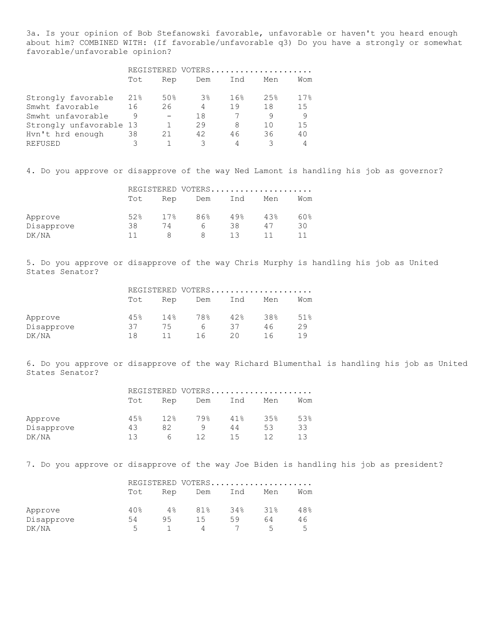3a. Is your opinion of Bob Stefanowski favorable, unfavorable or haven't you heard enough about him? COMBINED WITH: (If favorable/unfavorable q3) Do you have a strongly or somewhat favorable/unfavorable opinion?

|                         | REGISTERED VOTERS |     |       |     |     |     |
|-------------------------|-------------------|-----|-------|-----|-----|-----|
|                         | Tot               | Rep | Dem   | Ind | Men | Wom |
| Strongly favorable      | 21%               | 50% | $3\%$ | 16% | 25% | 17% |
| Smwht favorable         | 16                | 26  | 4     | 19  | 18  | 1.5 |
| Smwht unfavorable       | 9                 |     | 18    |     | 9   | 9   |
| Strongly unfavorable 13 |                   |     | 29    | 8   | 10  | 1.5 |
| Hvn't hrd enough        | 38                | 21  | 42    | 46  | 36  | 40  |
| REFUSED                 | 3                 |     |       |     |     |     |

4. Do you approve or disapprove of the way Ned Lamont is handling his job as governor?

|            |     |      | REGISTERED VOTERS |                   |      |     |
|------------|-----|------|-------------------|-------------------|------|-----|
|            | Tot | Rep  | Dem               | Ind               | Men  | Wom |
| Approve    | 52% | 17.8 | 86%               | $49$ <sup>2</sup> | 4.3% | 60% |
| Disapprove | 38  | 74   | h                 | 38                | 47   | 30  |
| DK/NA      |     |      | 8                 | 13                |      |     |

5. Do you approve or disapprove of the way Chris Murphy is handling his job as United States Senator?

|            |     |     |     |     | REGISTERED VOTERS |     |
|------------|-----|-----|-----|-----|-------------------|-----|
|            | Tot | Rep | Dem | Ind | Men               | Wom |
| Approve    | 45% | 14% | 78% | 42% | 38%               | 51% |
| Disapprove | 37  | 75  | h   | 37  | 46                | 29  |
| DK/NA      | 1 R | 11  | 16  | 20  | 1 F               | 19  |

6. Do you approve or disapprove of the way Richard Blumenthal is handling his job as United States Senator?

|            |      |      |     |     | REGISTERED VOTERS |     |
|------------|------|------|-----|-----|-------------------|-----|
|            | Tot  | Rep  | Dem | Ind | Men               | Wom |
| Approve    | 4.5% | 12.8 | 79% | 41% | 3.5%              | 53% |
| Disapprove | 43   | 82   |     | 44  | 53                | 33  |
| DK/NA      |      | h    | 12  | 15  |                   |     |

7. Do you approve or disapprove of the way Joe Biden is handling his job as president?

|            |     |     |     |     | REGISTERED VOTERS |     |
|------------|-----|-----|-----|-----|-------------------|-----|
|            | Tot | Rep | Dem | Ind | Men               | Wom |
| Approve    | 40% | 4%  | 81% | 34% | 31%               | 48% |
| Disapprove | 54  | 95  | 15  | 59  | 64                | 46  |
| DK/NA      | 5   |     | 4   |     | $\overline{a}$    | ᄃ   |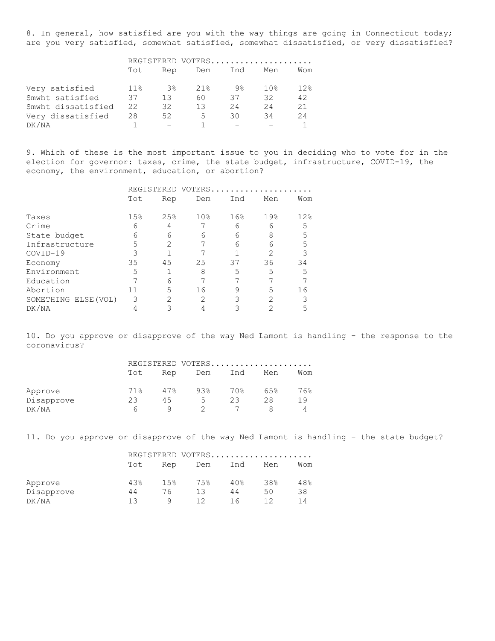8. In general, how satisfied are you with the way things are going in Connecticut today; are you very satisfied, somewhat satisfied, somewhat dissatisfied, or very dissatisfied?

|                    | REGISTERED VOTERS |       |     |                |     |     |
|--------------------|-------------------|-------|-----|----------------|-----|-----|
|                    | Tot               | Rep   | Dem | Ind            | Men | Wom |
| Very satisfied     | 11.8              | $3\%$ | 21% | 9 <sup>°</sup> | 10% | 12% |
| Smwht satisfied    | 37                | 13    | 60  | 37             | 32  | 42  |
| Smwht dissatisfied | 22                | 32    | 13  | 24             | 24  | 21  |
| Very dissatisfied  | 28                | 52    | 5   | 30             | 34  | 24  |
| DK/NA              |                   |       |     |                |     |     |

9. Which of these is the most important issue to you in deciding who to vote for in the election for governor: taxes, crime, the state budget, infrastructure, COVID-19, the economy, the environment, education, or abortion?

|                      | REGISTERED VOTERS. |                                                                                                                                                                 |                 |     |                |     |
|----------------------|--------------------|-----------------------------------------------------------------------------------------------------------------------------------------------------------------|-----------------|-----|----------------|-----|
|                      | Tot                | Rep                                                                                                                                                             | Dem             | Ind | Men            | Wom |
| Taxes                | 15%                | 25%                                                                                                                                                             | 10 <sub>8</sub> | 16% | 19%            | 12% |
| Crime                | 6                  | 4                                                                                                                                                               |                 | 6   | 6              | 5   |
| State budget         | 6                  | 6                                                                                                                                                               | 6               | 6   | 8              | 5   |
| Infrastructure       | 5                  | 2                                                                                                                                                               |                 | 6   | 6              | 5   |
| $COVID-19$           | 3                  |                                                                                                                                                                 |                 |     | $\mathfrak{D}$ |     |
| Economy              | 35                 | 45                                                                                                                                                              | 25              | 37  | 36             | 34  |
| Environment          | 5                  |                                                                                                                                                                 | 8               | 5   | 5              | 5   |
| Education            |                    | 6                                                                                                                                                               |                 |     |                |     |
| Abortion             | 11                 | 5                                                                                                                                                               | 16              | 9   | 5              | 16  |
| SOMETHING ELSE (VOL) | 3                  | $\mathcal{D}_{\mathcal{L}}^{\mathcal{L}}(\mathcal{L})=\mathcal{D}_{\mathcal{L}}^{\mathcal{L}}(\mathcal{L})\mathcal{D}_{\mathcal{L}}^{\mathcal{L}}(\mathcal{L})$ | 2               |     | $\mathcal{L}$  |     |
| DK/NA                |                    |                                                                                                                                                                 |                 |     | 2              |     |

10. Do you approve or disapprove of the way Ned Lamont is handling - the response to the coronavirus?

|            |     |     |     |     | REGISTERED VOTERS |     |
|------------|-----|-----|-----|-----|-------------------|-----|
|            | Tot | Rep | Dem | Ind | Men               | Wom |
| Approve    | 71% | 47% | 93% | 70% | 6.5%              | 76% |
| Disapprove | 23  | 45  | 5.  | 23  | 28                | 19  |
| DK/NA      | h   |     |     |     |                   |     |

11. Do you approve or disapprove of the way Ned Lamont is handling - the state budget?

|            |      |      |            |                 | REGISTERED VOTERS |     |
|------------|------|------|------------|-----------------|-------------------|-----|
|            | Tot  | Rep  | Ind<br>Dem |                 | Men               | Wom |
| Approve    | 4.3% | 1.5% | 75%        | 40 <sub>8</sub> | 38%               | 48% |
| Disapprove | 44   | 76   | 13         | 44              | 50                | 38  |
| DK/NA      | צו   | a    | 1 2        |                 |                   | 14  |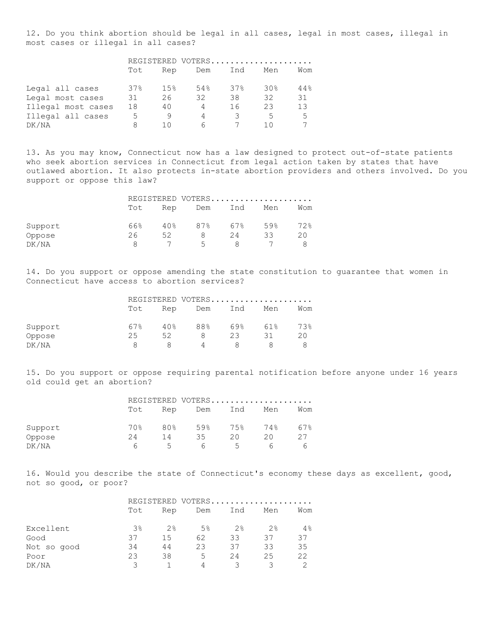12. Do you think abortion should be legal in all cases, legal in most cases, illegal in most cases or illegal in all cases?

|                    | REGISTERED VOTERS |     |     |        |                 |     |
|--------------------|-------------------|-----|-----|--------|-----------------|-----|
|                    | Tot               | Rep | Dem | Ind    | Men             | Wom |
| Legal all cases    | 37%               | 15% | 54% | $37\%$ | 30 <sub>8</sub> | 44% |
| Legal most cases   | 31                | 26  | 32  | 38     | 32              | 31  |
| Illegal most cases | 18                | 40  | 4   | 16     | 23              | 13  |
| Illegal all cases  | 5                 | 9   | 4   |        | 5               | .5  |
| DK/NA              |                   | 1 N | 6   |        | 10              |     |

13. As you may know, Connecticut now has a law designed to protect out-of-state patients who seek abortion services in Connecticut from legal action taken by states that have outlawed abortion. It also protects in-state abortion providers and others involved. Do you support or oppose this law?

|         |     |     | REGISTERED VOTERS |     |     |     |
|---------|-----|-----|-------------------|-----|-----|-----|
|         | Tot | Rep | Dem               | Ind | Men | Wom |
| Support | 66% | 40% | 87%               | 67% | 59% | 72% |
| Oppose  | 26  | 52  |                   | 24  | ろろ  | 20  |
| DK/NA   | я   |     | 5.                |     |     |     |

14. Do you support or oppose amending the state constitution to guarantee that women in Connecticut have access to abortion services?

|         |     |     | REGISTERED VOTERS |          |     |     |
|---------|-----|-----|-------------------|----------|-----|-----|
|         | Tot | Rep | Dem               | Ind      | Men | Wom |
| Support | 67% | 40% | 88%               | $69$ $%$ | 61% | 73% |
| Oppose  | 25  | 52  |                   | 23       | 31  | 20  |
| DK/NA   | я   |     | 4                 |          |     |     |

15. Do you support or oppose requiring parental notification before anyone under 16 years old could get an abortion?

|         |     |        |     |        | REGISTERED VOTERS |     |
|---------|-----|--------|-----|--------|-------------------|-----|
|         | Tot | Rep    | Dem | Ind    | Men               | Wom |
| Support | 70% | 80%    | 59% | 75%    | 74%               | 67% |
| Oppose  | 24  | 14     | 35  | 20     | 20                | 27  |
| DK/NA   | h   | $\sim$ | 6   | $\sim$ | h                 |     |

16. Would you describe the state of Connecticut's economy these days as excellent, good, not so good, or poor?

|             |     |     |     |     | REGISTERED VOTERS |     |
|-------------|-----|-----|-----|-----|-------------------|-----|
|             | Tot | Rep | Dem | Ind | Men               | Wom |
| Excellent   | 3%  | 2%  | 5%  | 2%  | 2%                | 4%  |
| Good        | 37  | 1.5 | 62  | 33  | 37                | 37  |
| Not so good | 34  | 44  | 23  | 37  | 33                | 35  |
| Poor        | 23  | 38  | 5   | 24  | 25                | 22  |
| DK/NA       | ੨   |     |     |     |                   |     |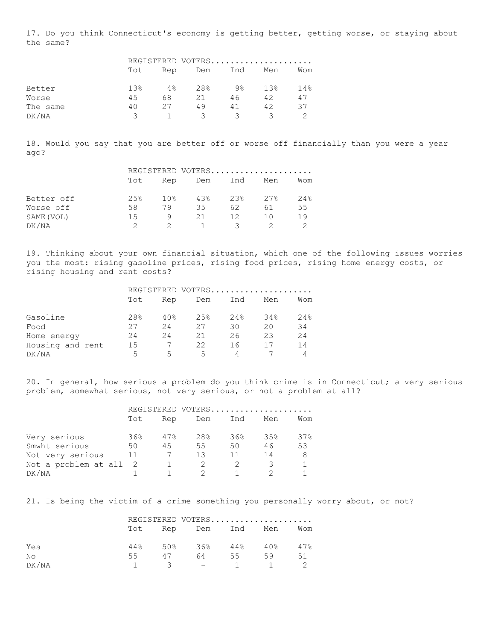17. Do you think Connecticut's economy is getting better, getting worse, or staying about the same?

|          |      |     |     |     | REGISTERED VOTERS |     |
|----------|------|-----|-----|-----|-------------------|-----|
|          | Tot  | Rep | Dem | Ind | Men               | Wom |
| Better   | 1.3% | 4%  | 28% | 9%  | 13%               | 14% |
| Worse    | 4.5  | 68  | 21  | 46  | 42                | 47  |
| The same | 40   | 27  | 49  | 41  | 42                | 37  |
| DK/NA    | ₹    |     | २   | -2  |                   |     |

18. Would you say that you are better off or worse off financially than you were a year ago?

|            | REGISTERED VOTERS |     |      |      |     |     |
|------------|-------------------|-----|------|------|-----|-----|
|            | Tot               | Rep | Dem  | Ind  | Men | Wom |
| Better off | 2.5%              | 10% | 4.3% | 2.3% | 27% | 24% |
| Worse off  | 58                | 79  | 35   | 62   | 61  | 55  |
| SAME (VOL) | 15                | q   | 21   | 12   | 1 N | 19  |
| DK/NA      |                   |     |      | ₹    |     |     |

19. Thinking about your own financial situation, which one of the following issues worries you the most: rising gasoline prices, rising food prices, rising home energy costs, or rising housing and rent costs?

|                  |     |     |     |     | REGISTERED VOTERS |     |
|------------------|-----|-----|-----|-----|-------------------|-----|
|                  | Tot | Rep | Dem | Ind | Men               | Wom |
| Gasoline         | 28% | 40% | 25% | 24% | 34%               | 24% |
| Food             | 27  | 2.4 | 27  | 30  | 20                | 34  |
| Home energy      | 24  | 2.4 | 21  | 26  | 23                | 2.4 |
| Housing and rent | 15  |     | 22  | 16  |                   | 14  |
| DK/NA            | 5   | ↳   | 5   |     |                   |     |

20. In general, how serious a problem do you think crime is in Connecticut; a very serious problem, somewhat serious, not very serious, or not a problem at all?

|                      | REGISTERED VOTERS |     |                 |     |     |     |
|----------------------|-------------------|-----|-----------------|-----|-----|-----|
|                      | Tot               | Rep | Dem             | Ind | Men | Wom |
| Very serious         | 36%               | 47% | 28 <sup>°</sup> | 36% | 35% | 37% |
| Smwht serious        | 50                | 45  | 55              | 50  | 46  | 53  |
| Not very serious     | 11                |     | 13              | 11  | 14  | 8   |
| Not a problem at all | - 2               |     |                 |     |     |     |
| DK/NA                |                   |     |                 |     |     |     |

21. Is being the victim of a crime something you personally worry about, or not?

|       |    |    | REGISTERED VOTERS                         |                   |    |     |
|-------|----|----|-------------------------------------------|-------------------|----|-----|
|       |    |    | Tot Rep Dem Ind Men                       |                   |    | Wom |
| Yes   |    |    | $44\%$ 50\% 36\% 44\% 40\% 47\%           |                   |    |     |
| No    | 55 | 47 | 64 — 1                                    | 55                | 59 | 51  |
| DK/NA |    |    | $\mathcal{R}$ $\mathcal{R}$ $\mathcal{R}$ | $\sim$ 1 $\sim$ 1 |    |     |